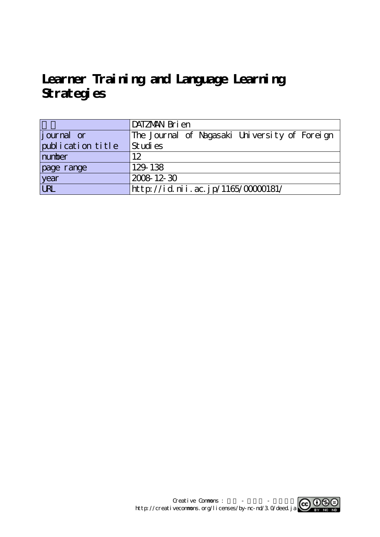# Learner Training and Language Learning **Strategies**

|                   | DATZMAN Bri en                                |
|-------------------|-----------------------------------------------|
| journal or        | The Journal of Nagasaki University of Foreign |
| publication title | Studies                                       |
| number            | 12                                            |
| page range        | 129-138                                       |
| year<br>URL       | 2008 12 30                                    |
|                   | http://id.nii.ac.jp/1165/00000181/            |

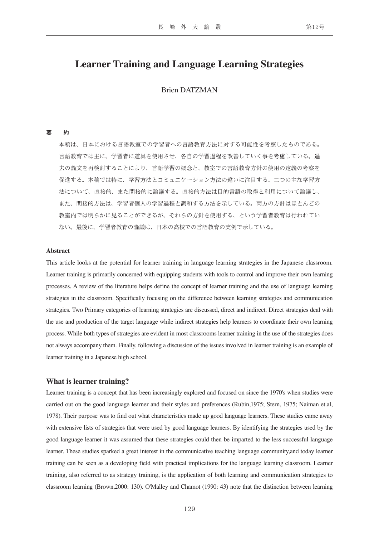# **Learner Training and Language Learning Strategies**

# Brien DATZMAN

#### 要 約

本稿は、日本における言語教室での学習者への言語教育方法に対する可能性を考察したものである。 言語教育では主に、学習者に道具を使用させ、各自の学習過程を改善していく事を考慮している。過 去の論文を再検討することにより、言語学習の概念と、教室での言語教育方針の使用の定義の考察を 促進する。本稿では特に、学習方法とコミュニケーション方法の違いに注目する。二つの主な学習方 法について、直接的、また間接的に論議する。直接的方法は目的言語の取得と利用について論議し、 また、間接的方法は、学習者個人の学習過程と調和する方法を示している。両方の方針はほとんどの 教室内では明らかに見ることができるが、それらの方針を使用する、という学習者教育は行われてい ない。最後に、学習者教育の論議は、日本の高校での言語教育の実例で示している。

### **Abstract**

This article looks at the potential for learner training in language learning strategies in the Japanese classroom. Learner training is primarily concerned with equipping students with tools to control and improve their own learning processes. A review of the literature helps define the concept of learner training and the use of language learning strategies in the classroom. Specifically focusing on the difference between learning strategies and communication strategies. Two Primary categories of learning strategies are discussed, direct and indirect. Direct strategies deal with the use and production of the target language while indirect strategies help learners to coordinate their own learning process. While both types of strategies are evident in most classrooms learner training in the use of the strategies does not always accompany them. Finally, following a discussion of the issues involved in learner training is an example of learner training in a Japanese high school.

### **What is learner training?**

Learner training is a concept that has been increasingly explored and focused on since the 1970's when studies were carried out on the good language learner and their styles and preferences (Rubin,1975; Stern, 1975; Naiman et.al, 1978). Their purpose was to find out what characteristics made up good language learners. These studies came away with extensive lists of strategies that were used by good language learners. By identifying the strategies used by the good language learner it was assumed that these strategies could then be imparted to the less successful language learner. These studies sparked a great interest in the communicative teaching language community,and today learner training can be seen as a developing field with practical implications for the language learning classroom. Learner training, also referred to as strategy training, is the application of both learning and communication strategies to classroom learning (Brown,2000: 130). O'Malley and Chamot (1990: 43) note that the distinction between learning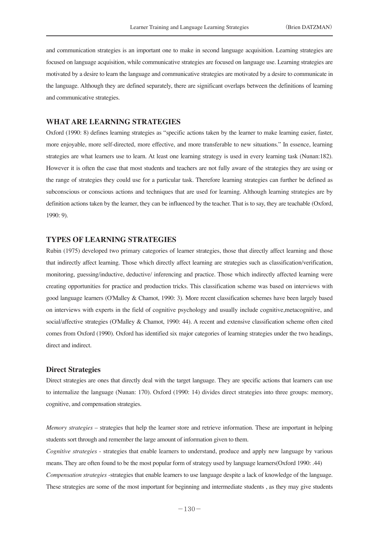and communication strategies is an important one to make in second language acquisition. Learning strategies are focused on language acquisition, while communicative strategies are focused on language use. Learning strategies are motivated by a desire to learn the language and communicative strategies are motivated by a desire to communicate in the language. Although they are defined separately, there are significant overlaps between the definitions of learning and communicative strategies.

# **WHAT ARE LEARNING STRATEGIES**

Oxford (1990: 8) defines learning strategies as "specific actions taken by the learner to make learning easier, faster, more enjoyable, more self-directed, more effective, and more transferable to new situations." In essence, learning strategies are what learners use to learn. At least one learning strategy is used in every learning task (Nunan:182). However it is often the case that most students and teachers are not fully aware of the strategies they are using or the range of strategies they could use for a particular task. Therefore learning strategies can further be defined as subconscious or conscious actions and techniques that are used for learning. Although learning strategies are by definition actions taken by the learner, they can be influenced by the teacher. That is to say, they are teachable (Oxford, 1990: 9).

# **TYPES OF LEARNING STRATEGIES**

Rubin (1975) developed two primary categories of learner strategies, those that directly affect learning and those that indirectly affect learning. Those which directly affect learning are strategies such as classification/verification, monitoring, guessing/inductive, deductive/ inferencing and practice. Those which indirectly affected learning were creating opportunities for practice and production tricks. This classification scheme was based on interviews with good language learners (O'Malley & Chamot, 1990: 3). More recent classification schemes have been largely based on interviews with experts in the field of cognitive psychology and usually include cognitive,metacognitive, and social/affective strategies (O'Malley & Chamot, 1990: 44). A recent and extensive classification scheme often cited comes from Oxford (1990). Oxford has identified six major categories of learning strategies under the two headings, direct and indirect.

### **Direct Strategies**

Direct strategies are ones that directly deal with the target language. They are specific actions that learners can use to internalize the language (Nunan: 170). Oxford (1990: 14) divides direct strategies into three groups: memory, cognitive, and compensation strategies.

*Memory strategies* – strategies that help the learner store and retrieve information. These are important in helping students sort through and remember the large amount of information given to them.

*Cognitive strategies* - strategies that enable learners to understand, produce and apply new language by various means. They are often found to be the most popular form of strategy used by language learners(Oxford 1990: .44) *Compensation strategies* -strategies that enable learners to use language despite a lack of knowledge of the language. These strategies are some of the most important for beginning and intermediate students , as they may give students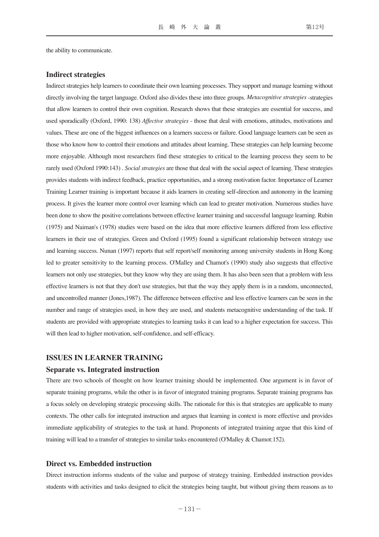the ability to communicate.

### **Indirect strategies**

Indirect strategies help learners to coordinate their own learning processes. They support and manage learning without directly involving the target language. Oxford also divides these into three groups. *Metacognitive strategies* -strategies that allow learners to control their own cognition. Research shows that these strategies are essential for success, and used sporadically (Oxford, 1990: 138) *Affective strategies* - those that deal with emotions, attitudes, motivations and values. These are one of the biggest influences on a learners success or failure. Good language learners can be seen as those who know how to control their emotions and attitudes about learning. These strategies can help learning become more enjoyable. Although most researchers find these strategies to critical to the learning process they seem to be rarely used (Oxford 1990:143) . *Social strategies* are those that deal with the social aspect of learning. These strategies provides students with indirect feedback, practice opportunities, and a strong motivation factor. Importance of Learner Training Learner training is important because it aids learners in creating self-direction and autonomy in the learning process. It gives the learner more control over learning which can lead to greater motivation. Numerous studies have been done to show the positive correlations between effective learner training and successful language learning. Rubin (1975) and Naiman's (1978) studies were based on the idea that more effective learners differed from less effective learners in their use of strategies. Green and Oxford (1995) found a significant relationship between strategy use and learning success. Nunan (1997) reports that self report/self monitoring among university students in Hong Kong led to greater sensitivity to the learning process. O'Malley and Chamot's (1990) study also suggests that effective learners not only use strategies, but they know why they are using them. It has also been seen that a problem with less effective learners is not that they don't use strategies, but that the way they apply them is in a random, unconnected, and uncontrolled manner (Jones,1987). The difference between effective and less effective learners can be seen in the number and range of strategies used, in how they are used, and students metacognitive understanding of the task. If students are provided with appropriate strategies to learning tasks it can lead to a higher expectation for success. This will then lead to higher motivation, self-confidence, and self-efficacy.

# **ISSUES IN LEARNER TRAINING**

#### **Separate vs. Integrated instruction**

There are two schools of thought on how learner training should be implemented. One argument is in favor of separate training programs, while the other is in favor of integrated training programs. Separate training programs has a focus solely on developing strategic processing skills. The rationale for this is that strategies are applicable to many contexts. The other calls for integrated instruction and argues that learning in context is more effective and provides immediate applicability of strategies to the task at hand. Proponents of integrated training argue that this kind of training will lead to a transfer of strategies to similar tasks encountered (O'Malley & Chamot:152).

# **Direct vs. Embedded instruction**

Direct instruction informs students of the value and purpose of strategy training. Embedded instruction provides students with activities and tasks designed to elicit the strategies being taught, but without giving them reasons as to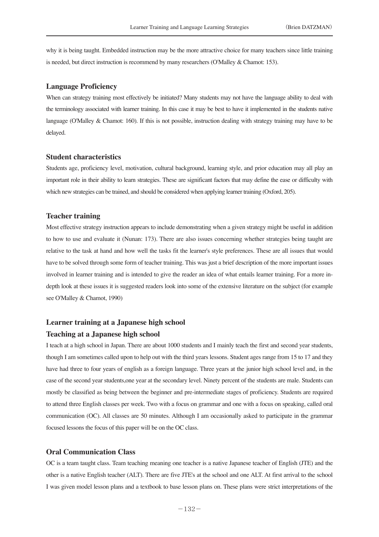why it is being taught. Embedded instruction may be the more attractive choice for many teachers since little training is needed, but direct instruction is recommend by many researchers (O'Malley & Chamot: 153).

### **Language Proficiency**

When can strategy training most effectively be initiated? Many students may not have the language ability to deal with the terminology associated with learner training. In this case it may be best to have it implemented in the students native language (O'Malley & Chamot: 160). If this is not possible, instruction dealing with strategy training may have to be delayed.

# **Student characteristics**

Students age, proficiency level, motivation, cultural background, learning style, and prior education may all play an important role in their ability to learn strategies. These are significant factors that may define the ease or difficulty with which new strategies can be trained, and should be considered when applying learner training (Oxford, 205).

# **Teacher training**

Most effective strategy instruction appears to include demonstrating when a given strategy might be useful in addition to how to use and evaluate it (Nunan: 173). There are also issues concerning whether strategies being taught are relative to the task at hand and how well the tasks fit the learner's style preferences. These are all issues that would have to be solved through some form of teacher training. This was just a brief description of the more important issues involved in learner training and is intended to give the reader an idea of what entails learner training. For a more indepth look at these issues it is suggested readers look into some of the extensive literature on the subject (for example see O'Malley & Chamot, 1990)

### **Learner training at a Japanese high school**

## **Teaching at a Japanese high school**

I teach at a high school in Japan. There are about 1000 students and I mainly teach the first and second year students, though I am sometimes called upon to help out with the third years lessons. Student ages range from 15 to 17 and they have had three to four years of english as a foreign language. Three years at the junior high school level and, in the case of the second year students,one year at the secondary level. Ninety percent of the students are male. Students can mostly be classified as being between the beginner and pre-intermediate stages of proficiency. Students are required to attend three English classes per week. Two with a focus on grammar and one with a focus on speaking, called oral communication (OC). All classes are 50 minutes. Although I am occasionally asked to participate in the grammar focused lessons the focus of this paper will be on the OC class.

### **Oral Communication Class**

OC is a team taught class. Team teaching meaning one teacher is a native Japanese teacher of English (JTE) and the other is a native English teacher (ALT). There are five JTE's at the school and one ALT. At first arrival to the school I was given model lesson plans and a textbook to base lesson plans on. These plans were strict interpretations of the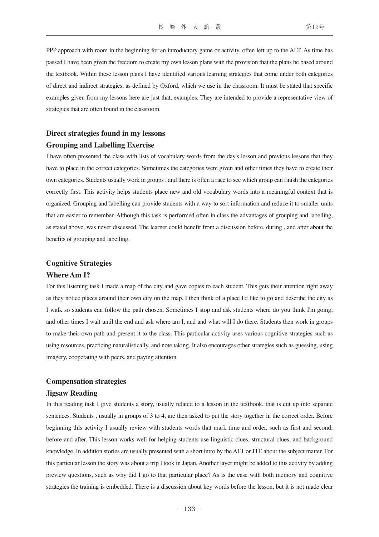PPP approach with room in the beginning for an introductory game or activity, often left up to the ALT. As time has passed I have been given the freedom to create my own lesson plans with the provision that the plans be based around the textbook. Within these lesson plans I have identified various learning strategies that come under both categories of direct and indirect strategies, as defined by Oxford, which we use in the classroom. It must be stated that specific examples given from my lessons here are just that, examples. They are intended to provide a representative view of strategies that are often found in the classroom.

# **Direct strategies found in my lessons**

# **Grouping and Labelling Exercise**

I have often presented the class with lists of vocabulary words from the day's lesson and previous lessons that they have to place in the correct categories. Sometimes the categories were given and other times they have to create their own categories. Students usually work in groups , and there is often a race to see which group can finish the categories correctly first. This activity helps students place new and old vocabulary words into a meaningful context that is organized. Grouping and labelling can provide students with a way to sort information and reduce it to smaller units that are easier to remember. Although this task is performed often in class the advantages of grouping and labelling, as stated above, was never discussed. The learner could benefit from a discussion before, during , and after about the benefits of grouping and labelling.

# **Cognitive Strategies**

### **Where Am I?**

For this listening task I made a map of the city and gave copies to each student. This gets their attention right away as they notice places around their own city on the map. I then think of a place I'd like to go and describe the city as I walk so students can follow the path chosen. Sometimes I stop and ask students where do you think I'm going, and other times I wait until the end and ask where am I, and and what will I do there. Students then work in groups to make their own path and present it to the class. This particular activity uses various cognitive strategies such as using resources, practicing naturalistically, and note taking. It also encourages other strategies such as guessing, using imagery, cooperating with peers, and paying attention.

### **Compensation strategies**

# **Jigsaw Reading**

In this reading task I give students a story, usually related to a lesson in the textbook, that is cut up into separate sentences. Students , usually in groups of 3 to 4, are then asked to put the story together in the correct order. Before beginning this activity I usually review with students words that mark time and order, such as first and second, before and after. This lesson works well for helping students use linguistic clues, structural clues, and background knowledge. In addition stories are usually presented with a short intro by the ALT or JTE about the subject matter. For this particular lesson the story was about a trip I took in Japan. Another layer might be added to this activity by adding preview questions, such as why did I go to that particular place? As is the case with both memory and cognitive strategies the training is embedded. There is a discussion about key words before the lesson, but it is not made clear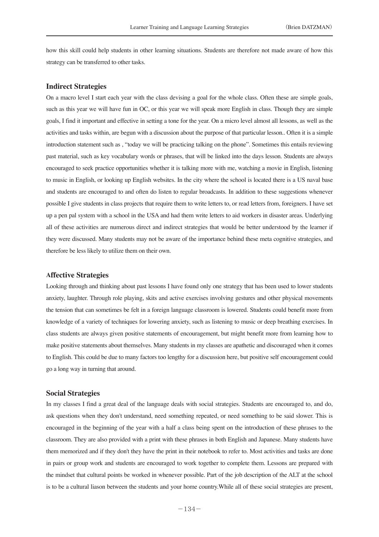how this skill could help students in other learning situations. Students are therefore not made aware of how this strategy can be transferred to other tasks.

### **Indirect Strategies**

On a macro level I start each year with the class devising a goal for the whole class. Often these are simple goals, such as this year we will have fun in OC, or this year we will speak more English in class. Though they are simple goals, I find it important and effective in setting a tone for the year. On a micro level almost all lessons, as well as the activities and tasks within, are begun with a discussion about the purpose of that particular lesson.. Often it is a simple introduction statement such as , "today we will be practicing talking on the phone". Sometimes this entails reviewing past material, such as key vocabulary words or phrases, that will be linked into the days lesson. Students are always encouraged to seek practice opportunities whether it is talking more with me, watching a movie in English, listening to music in English, or looking up English websites. In the city where the school is located there is a US naval base and students are encouraged to and often do listen to regular broadcasts. In addition to these suggestions whenever possible I give students in class projects that require them to write letters to, or read letters from, foreigners. I have set up a pen pal system with a school in the USA and had them write letters to aid workers in disaster areas. Underlying all of these activities are numerous direct and indirect strategies that would be better understood by the learner if they were discussed. Many students may not be aware of the importance behind these meta cognitive strategies, and therefore be less likely to utilize them on their own.

### **Affective Strategies**

Looking through and thinking about past lessons I have found only one strategy that has been used to lower students anxiety, laughter. Through role playing, skits and active exercises involving gestures and other physical movements the tension that can sometimes be felt in a foreign language classroom is lowered. Students could benefit more from knowledge of a variety of techniques for lowering anxiety, such as listening to music or deep breathing exercises. In class students are always given positive statements of encouragement, but might benefit more from learning how to make positive statements about themselves. Many students in my classes are apathetic and discouraged when it comes to English. This could be due to many factors too lengthy for a discussion here, but positive self encouragement could go a long way in turning that around.

# **Social Strategies**

In my classes I find a great deal of the language deals with social strategies. Students are encouraged to, and do, ask questions when they don't understand, need something repeated, or need something to be said slower. This is encouraged in the beginning of the year with a half a class being spent on the introduction of these phrases to the classroom. They are also provided with a print with these phrases in both English and Japanese. Many students have them memorized and if they don't they have the print in their notebook to refer to. Most activities and tasks are done in pairs or group work and students are encouraged to work together to complete them. Lessons are prepared with the mindset that cultural points be worked in whenever possible. Part of the job description of the ALT at the school is to be a cultural liason between the students and your home country.While all of these social strategies are present,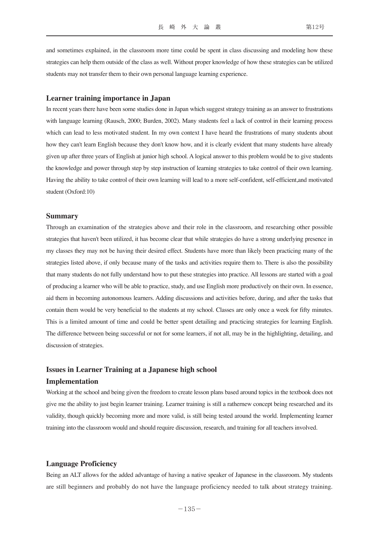and sometimes explained, in the classroom more time could be spent in class discussing and modeling how these strategies can help them outside of the class as well. Without proper knowledge of how these strategies can be utilized students may not transfer them to their own personal language learning experience.

#### **Learner training importance in Japan**

In recent years there have been some studies done in Japan which suggest strategy training as an answer to frustrations with language learning (Rausch, 2000; Burden, 2002). Many students feel a lack of control in their learning process which can lead to less motivated student. In my own context I have heard the frustrations of many students about how they can't learn English because they don't know how, and it is clearly evident that many students have already given up after three years of English at junior high school. A logical answer to this problem would be to give students the knowledge and power through step by step instruction of learning strategies to take control of their own learning. Having the ability to take control of their own learning will lead to a more self-confident, self-efficient,and motivated student (Oxford:10)

### **Summary**

Through an examination of the strategies above and their role in the classroom, and researching other possible strategies that haven't been utilized, it has become clear that while strategies do have a strong underlying presence in my classes they may not be having their desired effect. Students have more than likely been practicing many of the strategies listed above, if only because many of the tasks and activities require them to. There is also the possibility that many students do not fully understand how to put these strategies into practice. All lessons are started with a goal of producing a learner who will be able to practice, study, and use English more productively on their own. In essence, aid them in becoming autonomous learners. Adding discussions and activities before, during, and after the tasks that contain them would be very beneficial to the students at my school. Classes are only once a week for fifty minutes. This is a limited amount of time and could be better spent detailing and practicing strategies for learning English. The difference between being successful or not for some learners, if not all, may be in the highlighting, detailing, and discussion of strategies.

# **Issues in Learner Training at a Japanese high school Implementation**

Working at the school and being given the freedom to create lesson plans based around topics in the textbook does not give me the ability to just begin learner training. Learner training is still a rathernew concept being researched and its validity, though quickly becoming more and more valid, is still being tested around the world. Implementing learner training into the classroom would and should require discussion, research, and training for all teachers involved.

# **Language Proficiency**

Being an ALT allows for the added advantage of having a native speaker of Japanese in the classroom. My students are still beginners and probably do not have the language proficiency needed to talk about strategy training.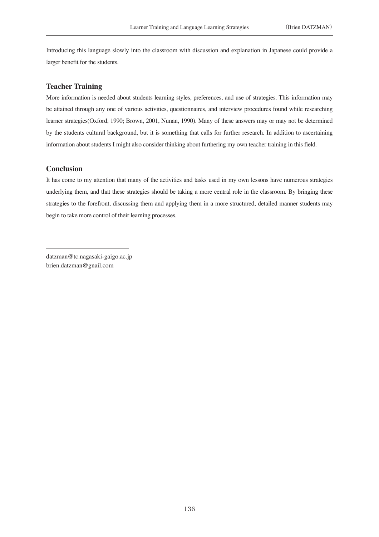Introducing this language slowly into the classroom with discussion and explanation in Japanese could provide a larger benefit for the students.

## **Teacher Training**

More information is needed about students learning styles, preferences, and use of strategies. This information may be attained through any one of various activities, questionnaires, and interview procedures found while researching learner strategies(Oxford, 1990; Brown, 2001, Nunan, 1990). Many of these answers may or may not be determined by the students cultural background, but it is something that calls for further research. In addition to ascertaining information about students I might also consider thinking about furthering my own teacher training in this field.

# **Conclusion**

It has come to my attention that many of the activities and tasks used in my own lessons have numerous strategies underlying them, and that these strategies should be taking a more central role in the classroom. By bringing these strategies to the forefront, discussing them and applying them in a more structured, detailed manner students may begin to take more control of their learning processes.

datzman@tc.nagasaki-gaigo.ac.jp brien.datzman@gnail.com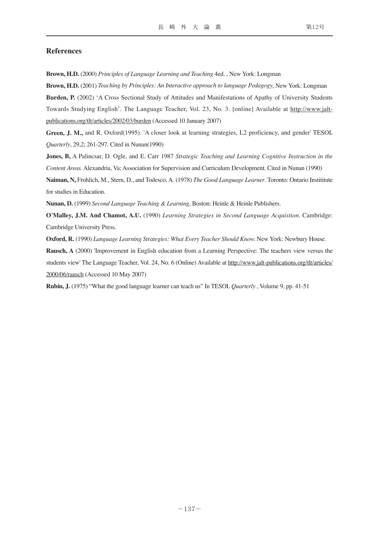### **References**

**Brown, H.D.** (2000) *Principles of Language Learning and Teaching* 4ed. , New York: Longman

**Brown, H.D.** (2001) *Teaching by Principles: An Interactive approach to language Pedagogy*, New York: Longman **Burden, P.** (2002) 'A Cross Sectional Study of Attitudes and Manifestations of Apathy of University Students Towards Studying English'. The Language Teacher, Vol. 23, No. 3. [online] Available at http://www.jaltpublications.org/tlt/articles/2002/03/burden (Accessed 10 January 2007)

**Green, J. M.,** and R. Oxford(1995). 'A closer look at learning strategies, L2 proficiency, and gender' TESOL *Quarterly*, 29,2; 261-297. Cited in Nunan(1990)

**Jones, B,** A Palincsar, D. Ogle, and E. Carr 1987 *Strategic Teaching and Learning Cognitive Instruction in the Content Areas*. Alexandria, Va; Association for Supervision and Curriculum Development. Cited in Nunan (1990)

**Naiman, N,** Frohlich, M., Stern, D., and Todesco, A. (1978) *The Good Language Learner*. Toronto: Ontario Instititute for studies in Education.

**Nunan, D.** (1999) *Second Language Teaching & Learning*, Boston: Heinle & Heinle Publishers.

**O'Malley, J.M. And Chamot, A.U.** (1990) *Learning Strategies in Second Language Acquistion*. Cambridge: Cambridge University Press.

**Oxford, R.** (1990) *Language Learning Strategies: What Every Teacher Should Know.* New York: Newbury House.

**Rausch, A** (2000) 'Improvement in English education from a Learning Perspective: The teachers view versus the students view' The Language Teacher, Vol. 24, No. 6 (Online) Available at http://www.jalt-publications.org/tlt/articles/ 2000/06/rausch (Accessed 10 May 2007)

**Rubin, J.** (1975) "What the good language learner can teach us" In TESOL *Quarterly* , Volume 9, pp. 41-51